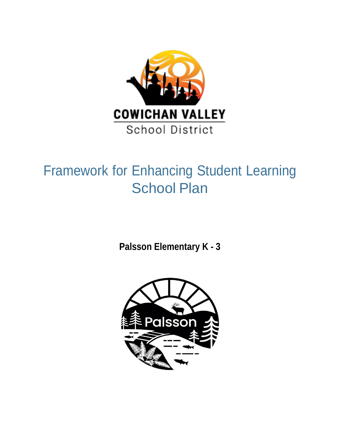

# Framework for Enhancing Student Learning School Plan

**Palsson Elementary K - 3**

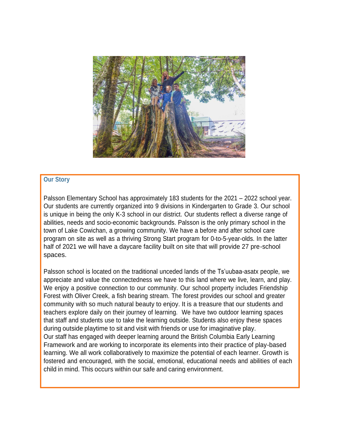

## **Our Story**

Palsson Elementary School has approximately 183 students for the 2021 – 2022 school year. Our students are currently organized into 9 divisions in Kindergarten to Grade 3. Our school is unique in being the only K-3 school in our district. Our students reflect a diverse range of abilities, needs and socio-economic backgrounds. Palsson is the only primary school in the town of Lake Cowichan, a growing community. We have a before and after school care program on site as well as a thriving Strong Start program for 0-to-5-year-olds. In the latter half of 2021 we will have a daycare facility built on site that will provide 27 pre-school spaces.

Palsson school is located on the traditional unceded lands of the Ts'uubaa-asatx people, we appreciate and value the connectedness we have to this land where we live, learn, and play. We enjoy a positive connection to our community. Our school property includes Friendship Forest with Oliver Creek, a fish bearing stream. The forest provides our school and greater community with so much natural beauty to enjoy. It is a treasure that our students and teachers explore daily on their journey of learning. We have two outdoor learning spaces that staff and students use to take the learning outside. Students also enjoy these spaces during outside playtime to sit and visit with friends or use for imaginative play. Our staff has engaged with deeper learning around the British Columbia Early Learning Framework and are working to incorporate its elements into their practice of play-based learning. We all work collaboratively to maximize the potential of each learner. Growth is fostered and encouraged, with the social, emotional, educational needs and abilities of each child in mind. This occurs within our safe and caring environment.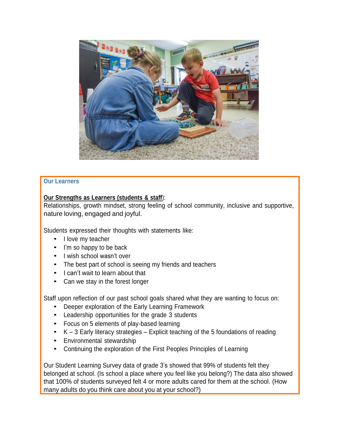

## **Our Learners**

## **Our Strengths as Learners (students & staff**):

Relationships, growth mindset, strong feeling of school community, inclusive and supportive, nature loving, engaged and joyful.

Students expressed their thoughts with statements like:

- I love my teacher
- I'm so happy to be back
- <sup>I</sup> wish school wasn't over
- The best part of school is seeing my friends and teachers
- I can't wait to learn about that
- Can we stay in the forest longer

Staff upon reflection of our past school goals shared what they are wanting to focus on:

- Deeper exploration of the Early Learning Framework
- Leadership opportunities for the grade <sup>3</sup> students
- Focus on <sup>5</sup> elements of play-based learning
- $K 3$  Early literacy strategies Explicit teaching of the 5 foundations of reading
- Environmental stewardship
- Continuing the exploration of the First Peoples Principles of Learning

Our Student Learning Survey data of grade 3's showed that 99% of students felt they belonged at school. (Is school a place where you feel like you belong?) The data also showed that 100% of students surveyed felt 4 or more adults cared for them at the school. (How many adults do you think care about you at your school?)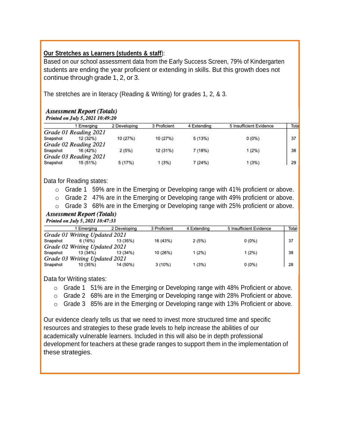## **Our Stretches as Learners (students & staff**):

Based on our school assessment data from the Early Success Screen, 79% of Kindergarten students are ending the year proficient or extending in skills. But this growth does not continue through grade 1, 2, or 3.

The stretches are in literacy (Reading & Writing) for grades 1, 2, & 3.

#### **Assessment Report (Totals)** Printed on Tuly 5, 2021 10:49:20

|          | Emerging              | 2 Developing | 3 Proficient | 4 Extending | 5 Insufficient Evidence | Tota |
|----------|-----------------------|--------------|--------------|-------------|-------------------------|------|
|          | Grade 01 Reading 2021 |              |              |             |                         |      |
| Snapshot | 12(32%)               | 10 (27%)     | 10 (27%)     | 5(13%)      | $0(0\%)$                | 37   |
|          | Grade 02 Reading 2021 |              |              |             |                         |      |
| Snapshot | 16 (42%)              | 2(5%)        | 12 (31%)     | 7(18%)      | $1(2\%)$                | 38   |
|          | Grade 03 Reading 2021 |              |              |             |                         |      |
| Snapshot | 15 (51%)              | 5(17%)       | 1(3%)        | 7(24%)      | 1(3%)                   | 29   |

Data for Reading states:

- o Grade 1 59% are in the Emerging or Developing range with 41% proficient or above.
- o Grade 2 47% are in the Emerging or Developing range with 49% proficient or above.
- o Grade 3 68% are in the Emerging or Developing range with 25% proficient or above.

#### **Assessment Report (Totals)** Printed on July 5, 2021 10:47:33

|                               | 1 Emerging | 2 Developing | 3 Proficient | 4 Extending | 5 Insufficient Evidence | Total |  |  |  |  |
|-------------------------------|------------|--------------|--------------|-------------|-------------------------|-------|--|--|--|--|
| Grade 01 Writing Updated 2021 |            |              |              |             |                         |       |  |  |  |  |
| Snapshot                      | 6 (16%)    | 13 (35%)     | 16 (43%)     | 2(5%)       | $0(0\%)$                | 37    |  |  |  |  |
| Grade 02 Writing Updated 2021 |            |              |              |             |                         |       |  |  |  |  |
| Snapshot                      | 13 (34%)   | 13 (34%)     | 10 (26%)     | 1 (2%)      | $1(2\%)$                | 38    |  |  |  |  |
| Grade 03 Writing Updated 2021 |            |              |              |             |                         |       |  |  |  |  |
| Snapshot                      | 10 (35%)   | 14 (50%)     | $3(10\%)$    | 1 (3%)      | $0(0\%)$                | 28    |  |  |  |  |

Data for Writing states:

- o Grade 1 51% are in the Emerging or Developing range with 48% Proficient or above.
- o Grade 2 68% are in the Emerging or Developing range with 28% Proficient or above.
- o Grade 3 85% are in the Emerging or Developing range with 13% Proficient or above.

Our evidence clearly tells us that we need to invest more structured time and specific resources and strategies to these grade levels to help increase the abilities of our academically vulnerable learners. Included in this will also be in depth professional development for teachers at these grade ranges to support them in the implementation of these strategies.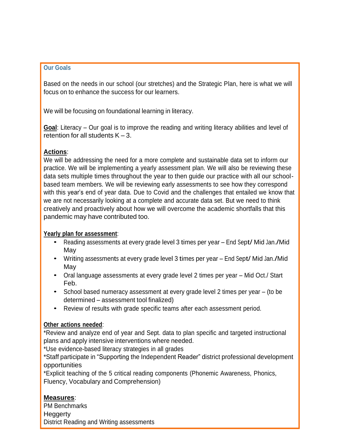#### **Our Goals**

Based on the needs in our school (our stretches) and the Strategic Plan, here is what we will focus on to enhance the success for our learners.

We will be focusing on foundational learning in literacy.

**Goal**: Literacy – Our goal is to improve the reading and writing literacy abilities and level of retention for all students  $K - 3$ .

## **Actions**:

We will be addressing the need for a more complete and sustainable data set to inform our practice. We will be implementing a yearly assessment plan. We will also be reviewing these data sets multiple times throughout the year to then guide our practice with all our schoolbased team members. We will be reviewing early assessments to see how they correspond with this year's end of year data. Due to Covid and the challenges that entailed we know that we are not necessarily looking at a complete and accurate data set. But we need to think creatively and proactively about how we will overcome the academic shortfalls that this pandemic may have contributed too.

#### **Yearly plan for assessment**:

- Reading assessments at every grade level <sup>3</sup> times per year End Sept/ Mid Jan./Mid May
- Writing assessments at every grade level <sup>3</sup> times per year End Sept/ Mid Jan./Mid May
- Oral language assessments at every grade level <sup>2</sup> times per year Mid Oct./ Start Feb.
- School based numeracy assessment at every grade level 2 times per year (to be determined – assessment tool finalized)
- Review of results with grade specific teams after each assessment period.

#### **Other actions needed**:

\*Review and analyze end of year and Sept. data to plan specific and targeted instructional plans and apply intensive interventions where needed.

\*Use evidence-based literacy strategies in all grades

\*Staff participate in "Supporting the Independent Reader" district professional development opportunities

\*Explicit teaching of the 5 critical reading components (Phonemic Awareness, Phonics, Fluency, Vocabulary and Comprehension)

# **Measures**:

PM Benchmarks **Heggerty** District Reading and Writing assessments